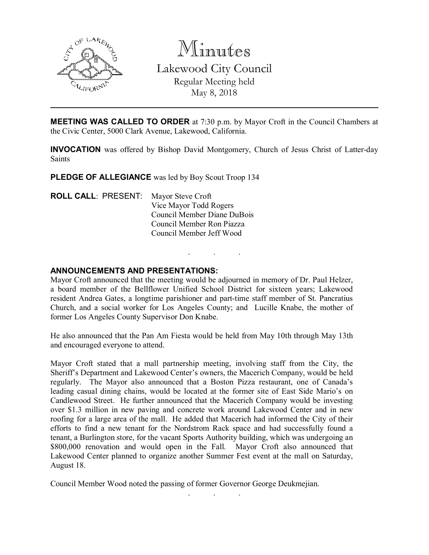

Minutes Lakewood City Council Regular Meeting held May 8, 2018

**MEETING WAS CALLED TO ORDER** at 7:30 p.m. by Mayor Croft in the Council Chambers at the Civic Center, 5000 Clark Avenue, Lakewood, California.

INVOCATION was offered by Bishop David Montgomery, Church of Jesus Christ of Latter-day **Saints** 

. . .

PLEDGE OF ALLEGIANCE was led by Boy Scout Troop 134

| <b>ROLL CALL: PRESENT:</b> | Mayor Steve Croft           |
|----------------------------|-----------------------------|
|                            | Vice Mayor Todd Rogers      |
|                            | Council Member Diane DuBois |
|                            | Council Member Ron Piazza   |
|                            | Council Member Jeff Wood    |
|                            |                             |

#### ANNOUNCEMENTS AND PRESENTATIONS:

Mayor Croft announced that the meeting would be adjourned in memory of Dr. Paul Helzer, a board member of the Bellflower Unified School District for sixteen years; Lakewood resident Andrea Gates, a longtime parishioner and part-time staff member of St. Pancratius Church, and a social worker for Los Angeles County; and Lucille Knabe, the mother of former Los Angeles County Supervisor Don Knabe.

He also announced that the Pan Am Fiesta would be held from May 10th through May 13th and encouraged everyone to attend.

Mayor Croft stated that a mall partnership meeting, involving staff from the City, the Sheriff's Department and Lakewood Center's owners, the Macerich Company, would be held regularly. The Mayor also announced that a Boston Pizza restaurant, one of Canada's leading casual dining chains, would be located at the former site of East Side Mario's on Candlewood Street. He further announced that the Macerich Company would be investing over \$1.3 million in new paving and concrete work around Lakewood Center and in new roofing for a large area of the mall. He added that Macerich had informed the City of their efforts to find a new tenant for the Nordstrom Rack space and had successfully found a tenant, a Burlington store, for the vacant Sports Authority building, which was undergoing an \$800,000 renovation and would open in the Fall. Mayor Croft also announced that Lakewood Center planned to organize another Summer Fest event at the mall on Saturday, August 18.

. . .

Council Member Wood noted the passing of former Governor George Deukmejian.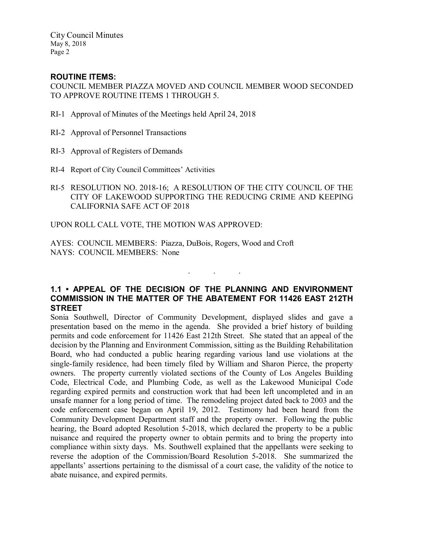## ROUTINE ITEMS:

COUNCIL MEMBER PIAZZA MOVED AND COUNCIL MEMBER WOOD SECONDED TO APPROVE ROUTINE ITEMS 1 THROUGH 5.

- RI-1 Approval of Minutes of the Meetings held April 24, 2018
- RI-2 Approval of Personnel Transactions
- RI-3 Approval of Registers of Demands
- RI-4 Report of City Council Committees' Activities
- RI-5 RESOLUTION NO. 2018-16; A RESOLUTION OF THE CITY COUNCIL OF THE CITY OF LAKEWOOD SUPPORTING THE REDUCING CRIME AND KEEPING CALIFORNIA SAFE ACT OF 2018

UPON ROLL CALL VOTE, THE MOTION WAS APPROVED:

AYES: COUNCIL MEMBERS: Piazza, DuBois, Rogers, Wood and Croft NAYS: COUNCIL MEMBERS: None

## 1.1 • APPEAL OF THE DECISION OF THE PLANNING AND ENVIRONMENT COMMISSION IN THE MATTER OF THE ABATEMENT FOR 11426 EAST 212TH **STREET**

. . .

Sonia Southwell, Director of Community Development, displayed slides and gave a presentation based on the memo in the agenda. She provided a brief history of building permits and code enforcement for 11426 East 212th Street. She stated that an appeal of the decision by the Planning and Environment Commission, sitting as the Building Rehabilitation Board, who had conducted a public hearing regarding various land use violations at the single-family residence, had been timely filed by William and Sharon Pierce, the property owners. The property currently violated sections of the County of Los Angeles Building Code, Electrical Code, and Plumbing Code, as well as the Lakewood Municipal Code regarding expired permits and construction work that had been left uncompleted and in an unsafe manner for a long period of time. The remodeling project dated back to 2003 and the code enforcement case began on April 19, 2012. Testimony had been heard from the Community Development Department staff and the property owner. Following the public hearing, the Board adopted Resolution 5-2018, which declared the property to be a public nuisance and required the property owner to obtain permits and to bring the property into compliance within sixty days. Ms. Southwell explained that the appellants were seeking to reverse the adoption of the Commission/Board Resolution 5-2018. She summarized the appellants' assertions pertaining to the dismissal of a court case, the validity of the notice to abate nuisance, and expired permits.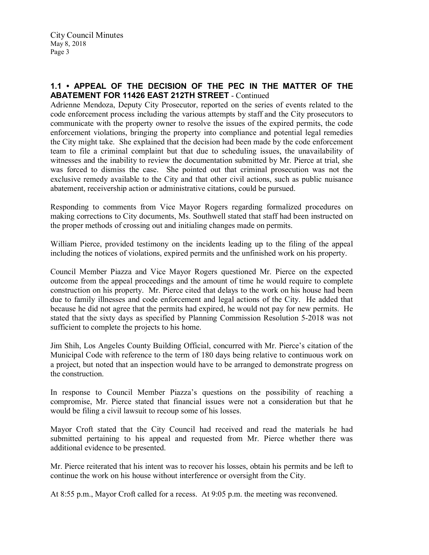## 1.1 • APPEAL OF THE DECISION OF THE PEC IN THE MATTER OF THE ABATEMENT FOR 11426 EAST 212TH STREET - Continued

Adrienne Mendoza, Deputy City Prosecutor, reported on the series of events related to the code enforcement process including the various attempts by staff and the City prosecutors to communicate with the property owner to resolve the issues of the expired permits, the code enforcement violations, bringing the property into compliance and potential legal remedies the City might take. She explained that the decision had been made by the code enforcement team to file a criminal complaint but that due to scheduling issues, the unavailability of witnesses and the inability to review the documentation submitted by Mr. Pierce at trial, she was forced to dismiss the case. She pointed out that criminal prosecution was not the exclusive remedy available to the City and that other civil actions, such as public nuisance abatement, receivership action or administrative citations, could be pursued.

Responding to comments from Vice Mayor Rogers regarding formalized procedures on making corrections to City documents, Ms. Southwell stated that staff had been instructed on the proper methods of crossing out and initialing changes made on permits.

William Pierce, provided testimony on the incidents leading up to the filing of the appeal including the notices of violations, expired permits and the unfinished work on his property.

Council Member Piazza and Vice Mayor Rogers questioned Mr. Pierce on the expected outcome from the appeal proceedings and the amount of time he would require to complete construction on his property. Mr. Pierce cited that delays to the work on his house had been due to family illnesses and code enforcement and legal actions of the City. He added that because he did not agree that the permits had expired, he would not pay for new permits. He stated that the sixty days as specified by Planning Commission Resolution 5-2018 was not sufficient to complete the projects to his home.

Jim Shih, Los Angeles County Building Official, concurred with Mr. Pierce's citation of the Municipal Code with reference to the term of 180 days being relative to continuous work on a project, but noted that an inspection would have to be arranged to demonstrate progress on the construction.

In response to Council Member Piazza's questions on the possibility of reaching a compromise, Mr. Pierce stated that financial issues were not a consideration but that he would be filing a civil lawsuit to recoup some of his losses.

Mayor Croft stated that the City Council had received and read the materials he had submitted pertaining to his appeal and requested from Mr. Pierce whether there was additional evidence to be presented.

Mr. Pierce reiterated that his intent was to recover his losses, obtain his permits and be left to continue the work on his house without interference or oversight from the City.

At 8:55 p.m., Mayor Croft called for a recess. At 9:05 p.m. the meeting was reconvened.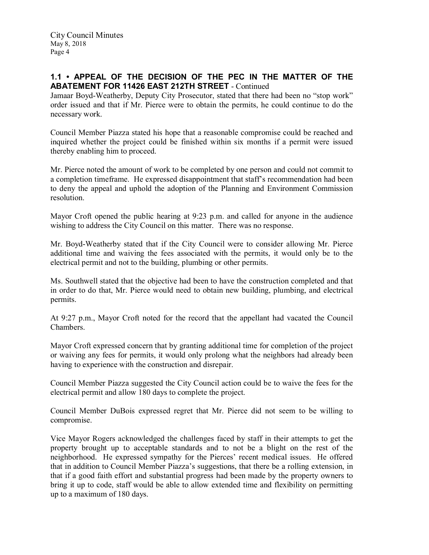## 1.1 • APPEAL OF THE DECISION OF THE PEC IN THE MATTER OF THE ABATEMENT FOR 11426 EAST 212TH STREET - Continued

Jamaar Boyd-Weatherby, Deputy City Prosecutor, stated that there had been no "stop work" order issued and that if Mr. Pierce were to obtain the permits, he could continue to do the necessary work.

Council Member Piazza stated his hope that a reasonable compromise could be reached and inquired whether the project could be finished within six months if a permit were issued thereby enabling him to proceed.

Mr. Pierce noted the amount of work to be completed by one person and could not commit to a completion timeframe. He expressed disappointment that staff's recommendation had been to deny the appeal and uphold the adoption of the Planning and Environment Commission resolution.

Mayor Croft opened the public hearing at 9:23 p.m. and called for anyone in the audience wishing to address the City Council on this matter. There was no response.

Mr. Boyd-Weatherby stated that if the City Council were to consider allowing Mr. Pierce additional time and waiving the fees associated with the permits, it would only be to the electrical permit and not to the building, plumbing or other permits.

Ms. Southwell stated that the objective had been to have the construction completed and that in order to do that, Mr. Pierce would need to obtain new building, plumbing, and electrical permits.

At 9:27 p.m., Mayor Croft noted for the record that the appellant had vacated the Council Chambers.

Mayor Croft expressed concern that by granting additional time for completion of the project or waiving any fees for permits, it would only prolong what the neighbors had already been having to experience with the construction and disrepair.

Council Member Piazza suggested the City Council action could be to waive the fees for the electrical permit and allow 180 days to complete the project.

Council Member DuBois expressed regret that Mr. Pierce did not seem to be willing to compromise.

Vice Mayor Rogers acknowledged the challenges faced by staff in their attempts to get the property brought up to acceptable standards and to not be a blight on the rest of the neighborhood. He expressed sympathy for the Pierces' recent medical issues. He offered that in addition to Council Member Piazza's suggestions, that there be a rolling extension, in that if a good faith effort and substantial progress had been made by the property owners to bring it up to code, staff would be able to allow extended time and flexibility on permitting up to a maximum of 180 days.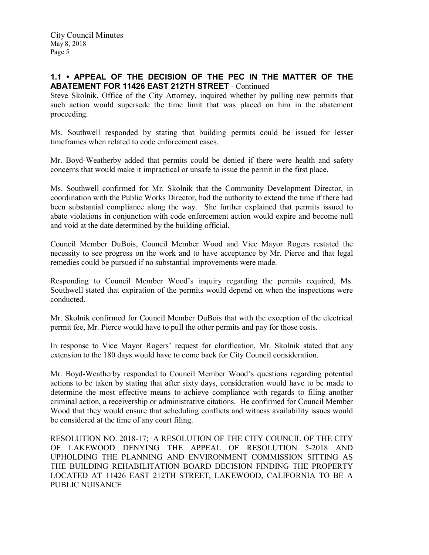## 1.1 • APPEAL OF THE DECISION OF THE PEC IN THE MATTER OF THE ABATEMENT FOR 11426 EAST 212TH STREET - Continued

Steve Skolnik, Office of the City Attorney, inquired whether by pulling new permits that such action would supersede the time limit that was placed on him in the abatement proceeding.

Ms. Southwell responded by stating that building permits could be issued for lesser timeframes when related to code enforcement cases.

Mr. Boyd-Weatherby added that permits could be denied if there were health and safety concerns that would make it impractical or unsafe to issue the permit in the first place.

Ms. Southwell confirmed for Mr. Skolnik that the Community Development Director, in coordination with the Public Works Director, had the authority to extend the time if there had been substantial compliance along the way. She further explained that permits issued to abate violations in conjunction with code enforcement action would expire and become null and void at the date determined by the building official.

Council Member DuBois, Council Member Wood and Vice Mayor Rogers restated the necessity to see progress on the work and to have acceptance by Mr. Pierce and that legal remedies could be pursued if no substantial improvements were made.

Responding to Council Member Wood's inquiry regarding the permits required, Ms. Southwell stated that expiration of the permits would depend on when the inspections were conducted.

Mr. Skolnik confirmed for Council Member DuBois that with the exception of the electrical permit fee, Mr. Pierce would have to pull the other permits and pay for those costs.

In response to Vice Mayor Rogers' request for clarification, Mr. Skolnik stated that any extension to the 180 days would have to come back for City Council consideration.

Mr. Boyd-Weatherby responded to Council Member Wood's questions regarding potential actions to be taken by stating that after sixty days, consideration would have to be made to determine the most effective means to achieve compliance with regards to filing another criminal action, a receivership or administrative citations. He confirmed for Council Member Wood that they would ensure that scheduling conflicts and witness availability issues would be considered at the time of any court filing.

RESOLUTION NO. 2018-17; A RESOLUTION OF THE CITY COUNCIL OF THE CITY OF LAKEWOOD DENYING THE APPEAL OF RESOLUTION 5-2018 AND UPHOLDING THE PLANNING AND ENVIRONMENT COMMISSION SITTING AS THE BUILDING REHABILITATION BOARD DECISION FINDING THE PROPERTY LOCATED AT 11426 EAST 212TH STREET, LAKEWOOD, CALIFORNIA TO BE A PUBLIC NUISANCE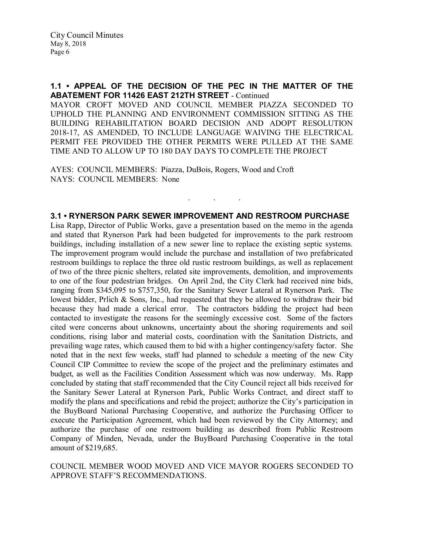#### 1.1 • APPEAL OF THE DECISION OF THE PEC IN THE MATTER OF THE ABATEMENT FOR 11426 EAST 212TH STREET - Continued

MAYOR CROFT MOVED AND COUNCIL MEMBER PIAZZA SECONDED TO UPHOLD THE PLANNING AND ENVIRONMENT COMMISSION SITTING AS THE BUILDING REHABILITATION BOARD DECISION AND ADOPT RESOLUTION 2018-17, AS AMENDED, TO INCLUDE LANGUAGE WAIVING THE ELECTRICAL PERMIT FEE PROVIDED THE OTHER PERMITS WERE PULLED AT THE SAME TIME AND TO ALLOW UP TO 180 DAY DAYS TO COMPLETE THE PROJECT

AYES: COUNCIL MEMBERS: Piazza, DuBois, Rogers, Wood and Croft NAYS: COUNCIL MEMBERS: None

## 3.1 • RYNERSON PARK SEWER IMPROVEMENT AND RESTROOM PURCHASE

. . .

Lisa Rapp, Director of Public Works, gave a presentation based on the memo in the agenda and stated that Rynerson Park had been budgeted for improvements to the park restroom buildings, including installation of a new sewer line to replace the existing septic systems. The improvement program would include the purchase and installation of two prefabricated restroom buildings to replace the three old rustic restroom buildings, as well as replacement of two of the three picnic shelters, related site improvements, demolition, and improvements to one of the four pedestrian bridges. On April 2nd, the City Clerk had received nine bids, ranging from \$345,095 to \$757,350, for the Sanitary Sewer Lateral at Rynerson Park. The lowest bidder, Prlich & Sons, Inc., had requested that they be allowed to withdraw their bid because they had made a clerical error. The contractors bidding the project had been contacted to investigate the reasons for the seemingly excessive cost. Some of the factors cited were concerns about unknowns, uncertainty about the shoring requirements and soil conditions, rising labor and material costs, coordination with the Sanitation Districts, and prevailing wage rates, which caused them to bid with a higher contingency/safety factor. She noted that in the next few weeks, staff had planned to schedule a meeting of the new City Council CIP Committee to review the scope of the project and the preliminary estimates and budget, as well as the Facilities Condition Assessment which was now underway. Ms. Rapp concluded by stating that staff recommended that the City Council reject all bids received for the Sanitary Sewer Lateral at Rynerson Park, Public Works Contract, and direct staff to modify the plans and specifications and rebid the project; authorize the City's participation in the BuyBoard National Purchasing Cooperative, and authorize the Purchasing Officer to execute the Participation Agreement, which had been reviewed by the City Attorney; and authorize the purchase of one restroom building as described from Public Restroom Company of Minden, Nevada, under the BuyBoard Purchasing Cooperative in the total amount of \$219,685.

COUNCIL MEMBER WOOD MOVED AND VICE MAYOR ROGERS SECONDED TO APPROVE STAFF'S RECOMMENDATIONS.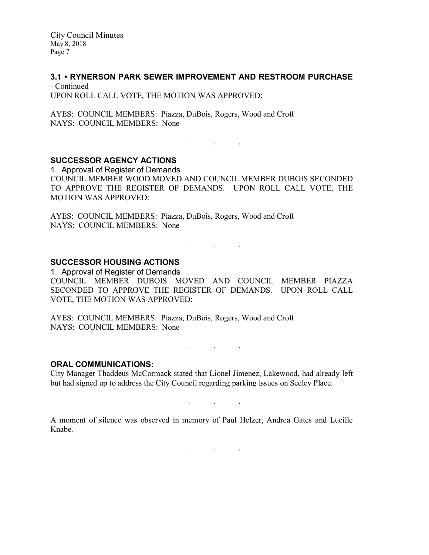#### 3.1 • RYNERSON PARK SEWER IMPROVEMENT AND RESTROOM PURCHASE

- Continued UPON ROLL CALL VOTE, THE MOTION WAS APPROVED:

AYES: COUNCIL MEMBERS: Piazza, DuBois, Rogers, Wood and Croft NAYS: COUNCIL MEMBERS: None

## . The set of the set of the set of  $\mathcal{A}$

# SUCCESSOR AGENCY ACTIONS

1. Approval of Register of Demands COUNCIL MEMBER WOOD MOVED AND COUNCIL MEMBER DUBOIS SECONDED TO APPROVE THE REGISTER OF DEMANDS. UPON ROLL CALL VOTE, THE MOTION WAS APPROVED:

AYES: COUNCIL MEMBERS: Piazza, DuBois, Rogers, Wood and Croft NAYS: COUNCIL MEMBERS: None

. . .

## SUCCESSOR HOUSING ACTIONS

1. Approval of Register of Demands COUNCIL MEMBER DUBOIS MOVED AND COUNCIL MEMBER PIAZZA SECONDED TO APPROVE THE REGISTER OF DEMANDS. UPON ROLL CALL VOTE, THE MOTION WAS APPROVED:

AYES: COUNCIL MEMBERS: Piazza, DuBois, Rogers, Wood and Croft NAYS: COUNCIL MEMBERS: None

. . .

#### ORAL COMMUNICATIONS:

City Manager Thaddeus McCormack stated that Lionel Jimenez, Lakewood, had already left but had signed up to address the City Council regarding parking issues on Seeley Place.

. . .

A moment of silence was observed in memory of Paul Helzer, Andrea Gates and Lucille Knabe.

 $\mathbf{r}$  .  $\mathbf{r}$  ,  $\mathbf{r}$  ,  $\mathbf{r}$  ,  $\mathbf{r}$  ,  $\mathbf{r}$  ,  $\mathbf{r}$  ,